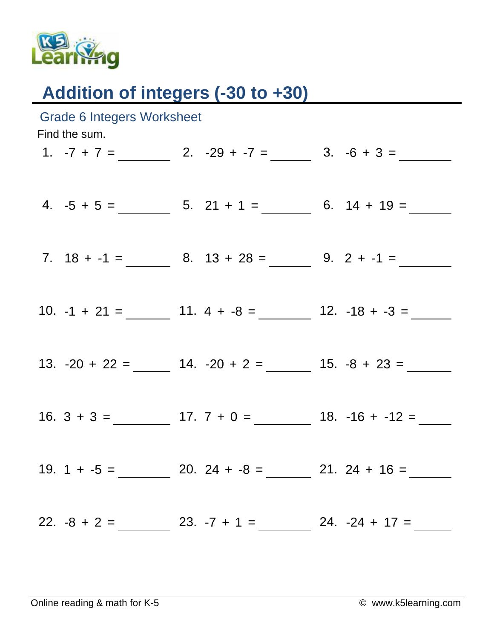

## Addition of integers (-30 to +30)

| <b>Grade 6 Integers Worksheet</b><br>Find the sum. |  |  |                                                                                                        |  |  |  |  |
|----------------------------------------------------|--|--|--------------------------------------------------------------------------------------------------------|--|--|--|--|
|                                                    |  |  | 1. $-7 + 7 =$ 2. $-29 + -7 =$ 3. $-6 + 3 =$                                                            |  |  |  |  |
|                                                    |  |  |                                                                                                        |  |  |  |  |
|                                                    |  |  | 4. $-5 + 5 =$ 5. 21 + 1 = 6. 14 + 19 = 5.                                                              |  |  |  |  |
|                                                    |  |  | 7. $18 + -1 =$ 8. $13 + 28 =$ 9. $2 + -1 =$                                                            |  |  |  |  |
|                                                    |  |  |                                                                                                        |  |  |  |  |
|                                                    |  |  |                                                                                                        |  |  |  |  |
|                                                    |  |  |                                                                                                        |  |  |  |  |
|                                                    |  |  | 13. $-20 + 22 =$ $\underline{\hspace{1cm}}$ 14. $-20 + 2 =$ $\underline{\hspace{1cm}}$ 15. $-8 + 23 =$ |  |  |  |  |
|                                                    |  |  |                                                                                                        |  |  |  |  |
|                                                    |  |  |                                                                                                        |  |  |  |  |
|                                                    |  |  |                                                                                                        |  |  |  |  |
|                                                    |  |  | 19. $1 + -5 =$ 20. $24 + -8 =$ 21. $24 + 16 =$                                                         |  |  |  |  |
|                                                    |  |  |                                                                                                        |  |  |  |  |
|                                                    |  |  |                                                                                                        |  |  |  |  |